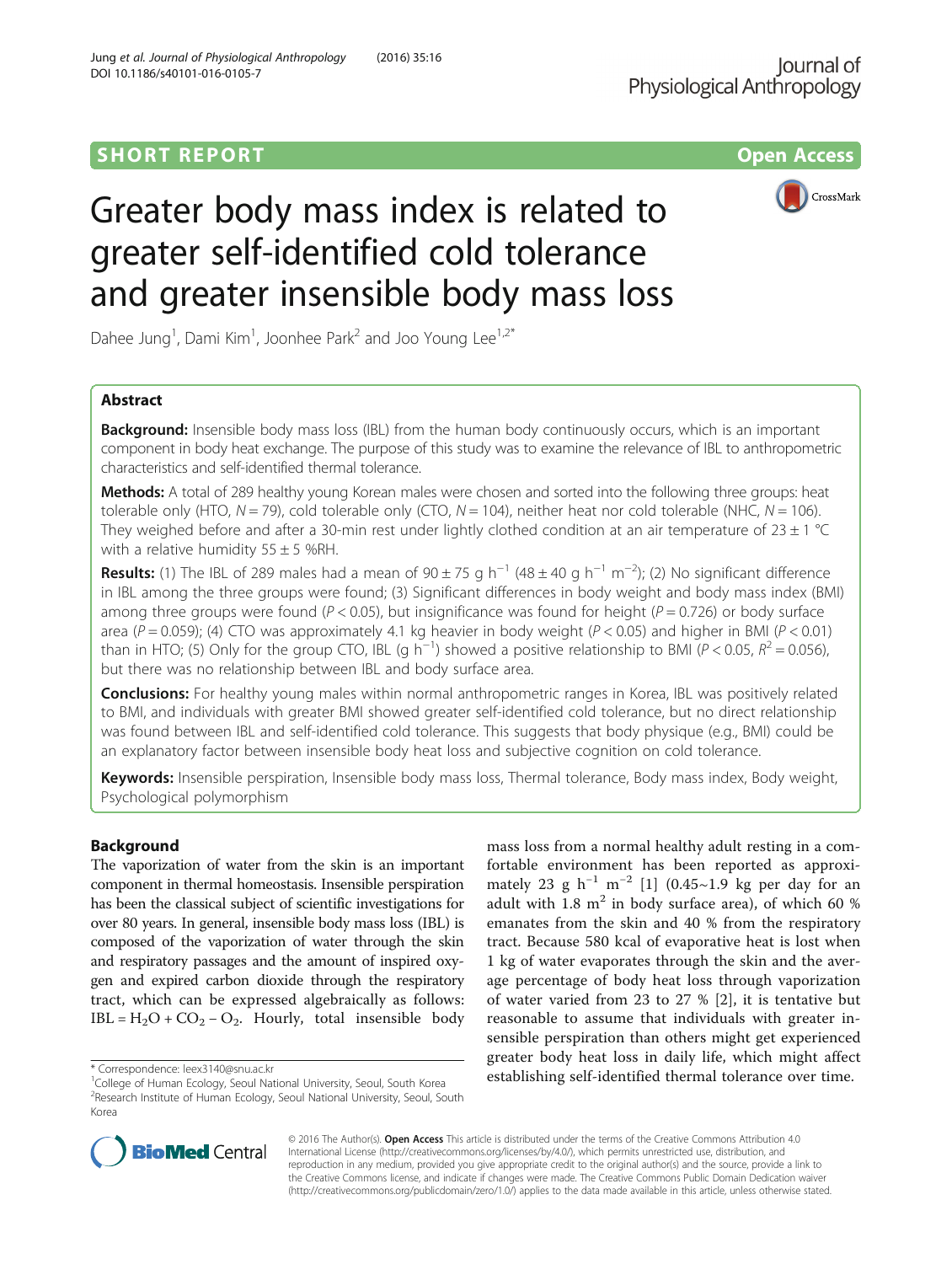

# Greater body mass index is related to greater self-identified cold tolerance and greater insensible body mass loss

Dahee Jung<sup>1</sup>, Dami Kim<sup>1</sup>, Joonhee Park<sup>2</sup> and Joo Young Lee<sup>1,2\*</sup>

# Abstract

**Background:** Insensible body mass loss (IBL) from the human body continuously occurs, which is an important component in body heat exchange. The purpose of this study was to examine the relevance of IBL to anthropometric characteristics and self-identified thermal tolerance.

Methods: A total of 289 healthy young Korean males were chosen and sorted into the following three groups: heat tolerable only (HTO,  $N = 79$ ), cold tolerable only (CTO,  $N = 104$ ), neither heat nor cold tolerable (NHC,  $N = 106$ ). They weighed before and after a 30-min rest under lightly clothed condition at an air temperature of  $23 \pm 1$  °C with a relative humidity  $55 \pm 5$  %RH.

**Results:** (1) The IBL of 289 males had a mean of 90 ± 75 g h<sup>-1</sup> (48 ± 40 g h<sup>-1</sup> m<sup>-2</sup>); (2) No significant difference in IBL among the three groups were found; (3) Significant differences in body weight and body mass index (BMI) among three groups were found ( $P < 0.05$ ), but insignificance was found for height ( $P = 0.726$ ) or body surface area (P = 0.059); (4) CTO was approximately 4.1 kg heavier in body weight (P < 0.05) and higher in BMI (P < 0.01) than in HTO; (5) Only for the group CTO, IBL (g h<sup>-1</sup>) showed a positive relationship to BMI (P < 0.05,  $R^2 = 0.056$ ), hut there was no relationship between IBL and body surface area but there was no relationship between IBL and body surface area.

**Conclusions:** For healthy young males within normal anthropometric ranges in Korea, IBL was positively related to BMI, and individuals with greater BMI showed greater self-identified cold tolerance, but no direct relationship was found between IBL and self-identified cold tolerance. This suggests that body physique (e.g., BMI) could be an explanatory factor between insensible body heat loss and subjective cognition on cold tolerance.

Keywords: Insensible perspiration, Insensible body mass loss, Thermal tolerance, Body mass index, Body weight, Psychological polymorphism

## Background

The vaporization of water from the skin is an important component in thermal homeostasis. Insensible perspiration has been the classical subject of scientific investigations for over 80 years. In general, insensible body mass loss (IBL) is composed of the vaporization of water through the skin and respiratory passages and the amount of inspired oxygen and expired carbon dioxide through the respiratory tract, which can be expressed algebraically as follows: IBL =  $H_2O$  +  $CO_2$  –  $O_2$ . Hourly, total insensible body

mass loss from a normal healthy adult resting in a comfortable environment has been reported as approxi-mately 23 g h<sup>-1</sup> m<sup>-2</sup> [[1\]](#page-4-0) (0.45~1.9 kg per day for an adult with 1.8  $m<sup>2</sup>$  in body surface area), of which 60 % emanates from the skin and 40 % from the respiratory tract. Because 580 kcal of evaporative heat is lost when 1 kg of water evaporates through the skin and the average percentage of body heat loss through vaporization of water varied from 23 to 27 % [[2\]](#page-4-0), it is tentative but reasonable to assume that individuals with greater insensible perspiration than others might get experienced greater body heat loss in daily life, which might affect \* Correspondence: [leex3140@snu.ac.kr](mailto:leex3140@snu.ac.kr) establishing self-identified thermal tolerance over time.



Korea

© 2016 The Author(s). Open Access This article is distributed under the terms of the Creative Commons Attribution 4.0 International License [\(http://creativecommons.org/licenses/by/4.0/](http://creativecommons.org/licenses/by/4.0/)), which permits unrestricted use, distribution, and reproduction in any medium, provided you give appropriate credit to the original author(s) and the source, provide a link to the Creative Commons license, and indicate if changes were made. The Creative Commons Public Domain Dedication waiver [\(http://creativecommons.org/publicdomain/zero/1.0/](http://creativecommons.org/publicdomain/zero/1.0/)) applies to the data made available in this article, unless otherwise stated.

<sup>&</sup>lt;sup>1</sup>College of Human Ecology, Seoul National University, Seoul, South Korea <sup>2</sup>Research Institute of Human Ecology, Seoul National University, Seoul, South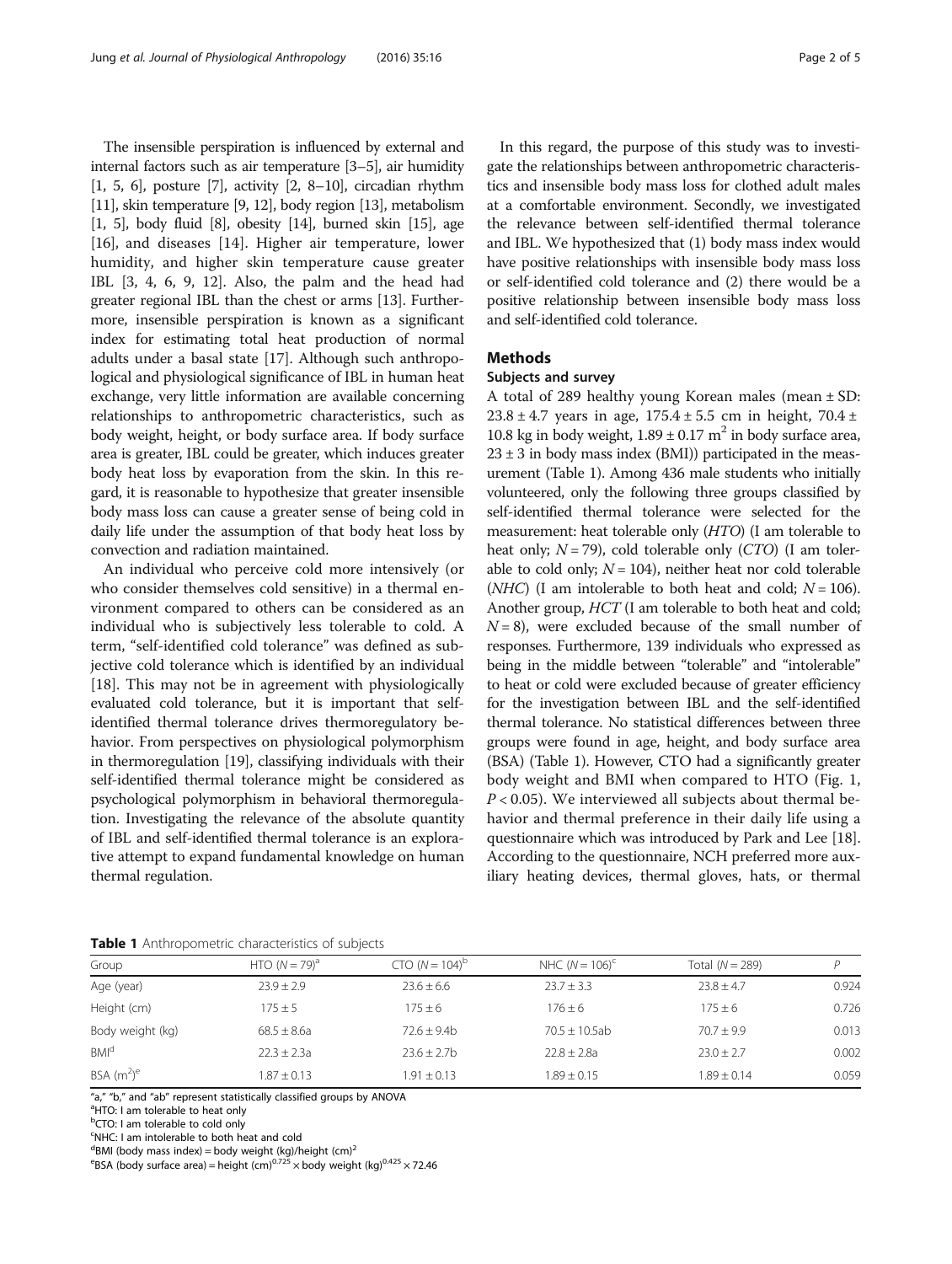<span id="page-1-0"></span>The insensible perspiration is influenced by external and internal factors such as air temperature [[3](#page-4-0)–[5\]](#page-4-0), air humidity [[1](#page-4-0), [5](#page-4-0), [6](#page-4-0)], posture [\[7](#page-4-0)], activity [\[2](#page-4-0), [8](#page-4-0)–[10](#page-4-0)], circadian rhythm [[11](#page-4-0)], skin temperature [\[9, 12\]](#page-4-0), body region [[13](#page-4-0)], metabolism [[1](#page-4-0), [5\]](#page-4-0), body fluid [\[8\]](#page-4-0), obesity [\[14\]](#page-4-0), burned skin [\[15\]](#page-4-0), age [[16](#page-4-0)], and diseases [[14\]](#page-4-0). Higher air temperature, lower humidity, and higher skin temperature cause greater IBL [\[3](#page-4-0), [4, 6, 9, 12](#page-4-0)]. Also, the palm and the head had greater regional IBL than the chest or arms [\[13\]](#page-4-0). Furthermore, insensible perspiration is known as a significant index for estimating total heat production of normal adults under a basal state [\[17\]](#page-4-0). Although such anthropological and physiological significance of IBL in human heat exchange, very little information are available concerning relationships to anthropometric characteristics, such as body weight, height, or body surface area. If body surface area is greater, IBL could be greater, which induces greater body heat loss by evaporation from the skin. In this regard, it is reasonable to hypothesize that greater insensible body mass loss can cause a greater sense of being cold in daily life under the assumption of that body heat loss by convection and radiation maintained.

An individual who perceive cold more intensively (or who consider themselves cold sensitive) in a thermal environment compared to others can be considered as an individual who is subjectively less tolerable to cold. A term, "self-identified cold tolerance" was defined as subjective cold tolerance which is identified by an individual [[18\]](#page-4-0). This may not be in agreement with physiologically evaluated cold tolerance, but it is important that selfidentified thermal tolerance drives thermoregulatory behavior. From perspectives on physiological polymorphism in thermoregulation [\[19](#page-4-0)], classifying individuals with their self-identified thermal tolerance might be considered as psychological polymorphism in behavioral thermoregulation. Investigating the relevance of the absolute quantity of IBL and self-identified thermal tolerance is an explorative attempt to expand fundamental knowledge on human thermal regulation.

In this regard, the purpose of this study was to investigate the relationships between anthropometric characteristics and insensible body mass loss for clothed adult males at a comfortable environment. Secondly, we investigated the relevance between self-identified thermal tolerance and IBL. We hypothesized that (1) body mass index would have positive relationships with insensible body mass loss or self-identified cold tolerance and (2) there would be a positive relationship between insensible body mass loss

## **Methods**

## Subjects and survey

and self-identified cold tolerance.

A total of 289 healthy young Korean males (mean ± SD:  $23.8 \pm 4.7$  years in age,  $175.4 \pm 5.5$  cm in height,  $70.4 \pm 1.7$ 10.8 kg in body weight,  $1.89 \pm 0.17$  m<sup>2</sup> in body surface area,  $23 \pm 3$  in body mass index (BMI)) participated in the measurement (Table 1). Among 436 male students who initially volunteered, only the following three groups classified by self-identified thermal tolerance were selected for the measurement: heat tolerable only (HTO) (I am tolerable to heat only;  $N = 79$ ), cold tolerable only (CTO) (I am tolerable to cold only;  $N = 104$ ), neither heat nor cold tolerable (*NHC*) (I am intolerable to both heat and cold;  $N = 106$ ). Another group, HCT (I am tolerable to both heat and cold;  $N = 8$ ), were excluded because of the small number of responses. Furthermore, 139 individuals who expressed as being in the middle between "tolerable" and "intolerable" to heat or cold were excluded because of greater efficiency for the investigation between IBL and the self-identified thermal tolerance. No statistical differences between three groups were found in age, height, and body surface area (BSA) (Table 1). However, CTO had a significantly greater body weight and BMI when compared to HTO (Fig. [1](#page-2-0),  $P < 0.05$ ). We interviewed all subjects about thermal behavior and thermal preference in their daily life using a questionnaire which was introduced by Park and Lee [[18](#page-4-0)]. According to the questionnaire, NCH preferred more auxiliary heating devices, thermal gloves, hats, or thermal

| <b>Lable I</b> Allthopollictic characteristics of subjects |                  |                   |                     |                   |       |
|------------------------------------------------------------|------------------|-------------------|---------------------|-------------------|-------|
| Group                                                      | HTO $(N = 79)^a$ | $CTO (N = 104)^b$ | NHC $(N = 106)^{c}$ | Total $(N = 289)$ |       |
| Age (year)                                                 | $23.9 + 2.9$     | $23.6 \pm 6.6$    | $23.7 \pm 3.3$      | $23.8 + 4.7$      | 0.924 |
| Height (cm)                                                | $175 \pm 5$      | $175 \pm 6$       | $176 \pm 6$         | $175 \pm 6$       | 0.726 |
| Body weight (kg)                                           | $68.5 + 8.6a$    | $72.6 + 9.4b$     | $70.5 \pm 10.5$ ab  | $70.7 + 9.9$      | 0.013 |
| <b>BMI<sup>d</sup></b>                                     | $22.3 \pm 2.3a$  | $23.6 \pm 2.7$ b  | $22.8 \pm 2.8a$     | $23.0 \pm 2.7$    | 0.002 |
| BSA $(m^2)^e$                                              | $1.87 + 0.13$    | $.91 + 0.13$      | $1.89 \pm 0.15$     | $1.89 \pm 0.14$   | 0.059 |

Table 1 Anthropometric characteristics of subjects

"a," "b," and "ab" represent statistically classified groups by ANOVA

<sup>a</sup>HTO: I am tolerable to heat only

<sup>b</sup>CTO: I am tolerable to cold only

c NHC: I am intolerable to both heat and cold

 $^{\text{d}}$ BMI (body mass index) = body weight (kg)/height (cm)<sup>2</sup>

<sup>e</sup>BSA (body surface area) = height (cm)<sup>0.725</sup>  $\times$  body weight (kg)<sup>0.425</sup>  $\times$  72.46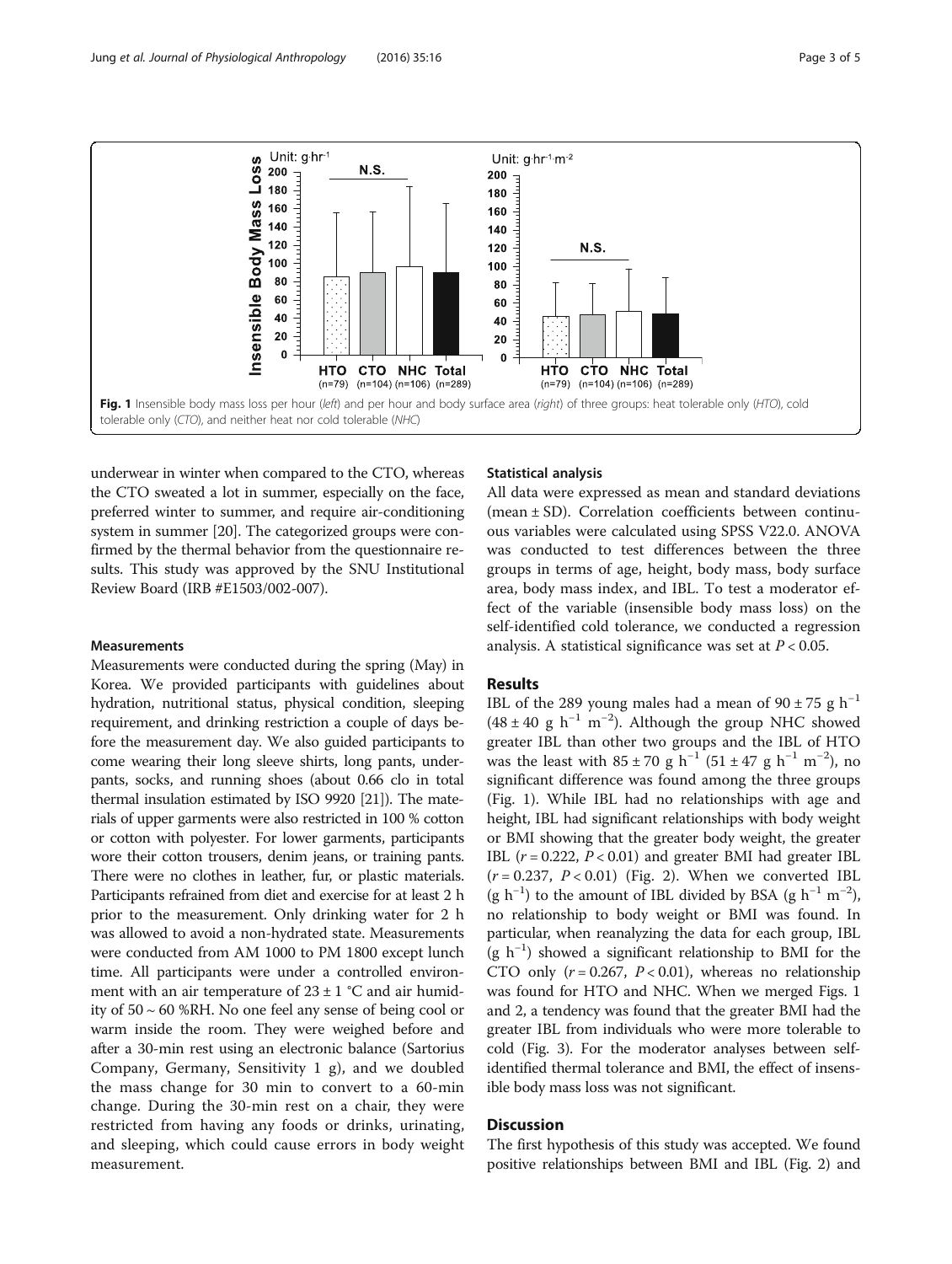<span id="page-2-0"></span>

underwear in winter when compared to the CTO, whereas the CTO sweated a lot in summer, especially on the face, preferred winter to summer, and require air-conditioning system in summer [\[20\]](#page-4-0). The categorized groups were confirmed by the thermal behavior from the questionnaire results. This study was approved by the SNU Institutional Review Board (IRB #E1503/002-007).

#### **Measurements**

Measurements were conducted during the spring (May) in Korea. We provided participants with guidelines about hydration, nutritional status, physical condition, sleeping requirement, and drinking restriction a couple of days before the measurement day. We also guided participants to come wearing their long sleeve shirts, long pants, underpants, socks, and running shoes (about 0.66 clo in total thermal insulation estimated by ISO 9920 [\[21\]](#page-4-0)). The materials of upper garments were also restricted in 100 % cotton or cotton with polyester. For lower garments, participants wore their cotton trousers, denim jeans, or training pants. There were no clothes in leather, fur, or plastic materials. Participants refrained from diet and exercise for at least 2 h prior to the measurement. Only drinking water for 2 h was allowed to avoid a non-hydrated state. Measurements were conducted from AM 1000 to PM 1800 except lunch time. All participants were under a controlled environment with an air temperature of  $23 \pm 1$  °C and air humidity of 50 ~ 60 %RH. No one feel any sense of being cool or warm inside the room. They were weighed before and after a 30-min rest using an electronic balance (Sartorius Company, Germany, Sensitivity 1 g), and we doubled the mass change for 30 min to convert to a 60-min change. During the 30-min rest on a chair, they were restricted from having any foods or drinks, urinating, and sleeping, which could cause errors in body weight measurement.

## Statistical analysis

All data were expressed as mean and standard deviations (mean ± SD). Correlation coefficients between continuous variables were calculated using SPSS V22.0. ANOVA was conducted to test differences between the three groups in terms of age, height, body mass, body surface area, body mass index, and IBL. To test a moderator effect of the variable (insensible body mass loss) on the self-identified cold tolerance, we conducted a regression analysis. A statistical significance was set at  $P < 0.05$ .

## Results

IBL of the 289 young males had a mean of  $90 \pm 75$  g h<sup>-1</sup>  $(48 \pm 40 \text{ g h}^{-1} \text{ m}^{-2})$ . Although the group NHC showed greater IBL than other two groups and the IBL of HTO was the least with  $85 \pm 70$  g h<sup>-1</sup> (51 ± 47 g h<sup>-1</sup> m<sup>-2</sup>), no significant difference was found among the three groups (Fig. 1). While IBL had no relationships with age and height, IBL had significant relationships with body weight or BMI showing that the greater body weight, the greater IBL  $(r = 0.222, P < 0.01)$  and greater BMI had greater IBL  $(r = 0.237, P < 0.01)$  (Fig. [2\)](#page-3-0). When we converted IBL (g h<sup>-1</sup>) to the amount of IBL divided by BSA (g h<sup>-1</sup> m<sup>-2</sup>), no relationship to body weight or BMI was found. In particular, when reanalyzing the data for each group, IBL (g h−<sup>1</sup> ) showed a significant relationship to BMI for the CTO only  $(r = 0.267, P < 0.01)$ , whereas no relationship was found for HTO and NHC. When we merged Figs. 1 and [2](#page-3-0), a tendency was found that the greater BMI had the greater IBL from individuals who were more tolerable to cold (Fig. [3](#page-3-0)). For the moderator analyses between selfidentified thermal tolerance and BMI, the effect of insensible body mass loss was not significant.

## **Discussion**

The first hypothesis of this study was accepted. We found positive relationships between BMI and IBL (Fig. [2\)](#page-3-0) and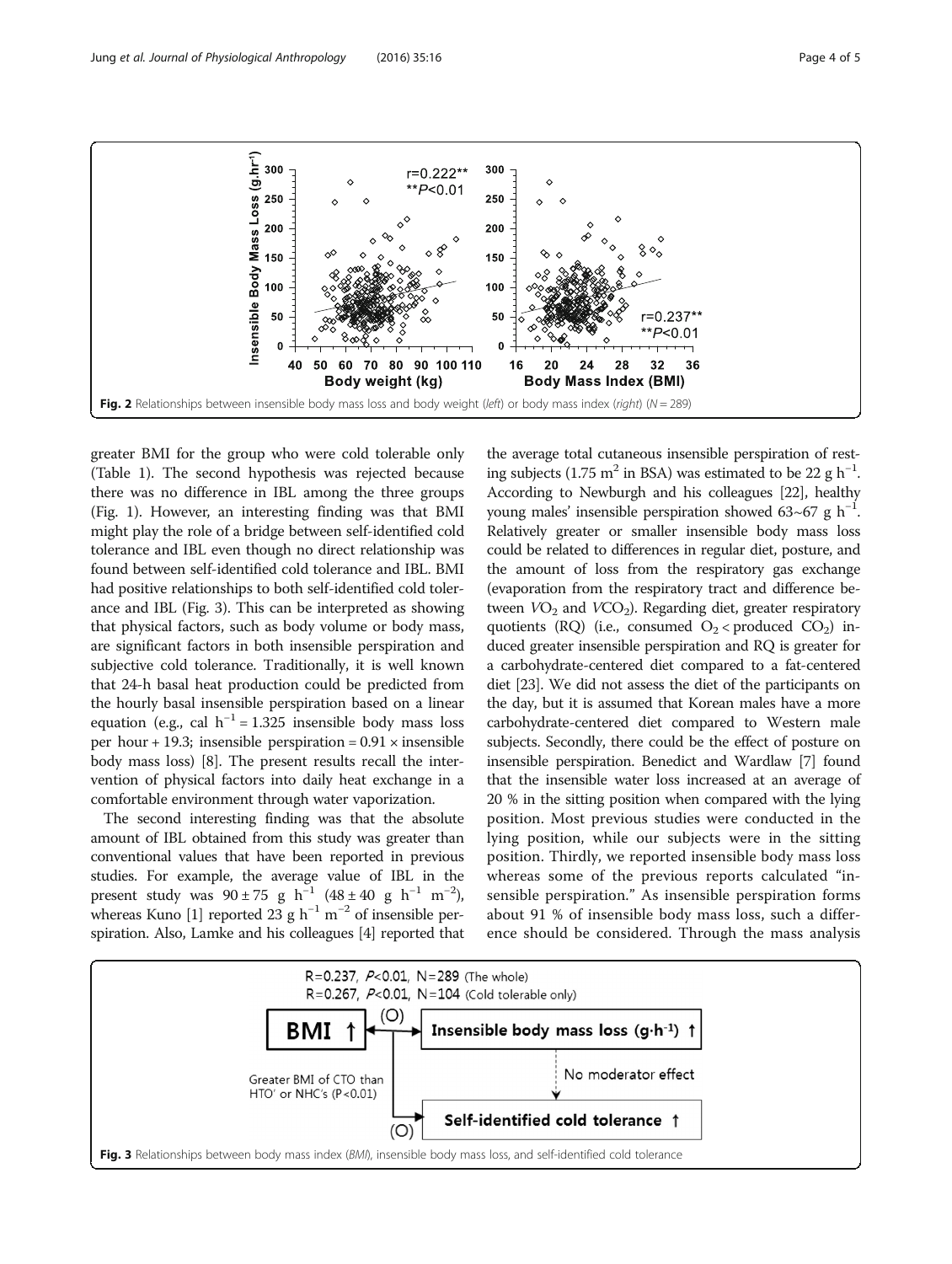<span id="page-3-0"></span>

greater BMI for the group who were cold tolerable only (Table [1](#page-1-0)). The second hypothesis was rejected because there was no difference in IBL among the three groups (Fig. [1\)](#page-2-0). However, an interesting finding was that BMI might play the role of a bridge between self-identified cold tolerance and IBL even though no direct relationship was found between self-identified cold tolerance and IBL. BMI had positive relationships to both self-identified cold tolerance and IBL (Fig. 3). This can be interpreted as showing that physical factors, such as body volume or body mass, are significant factors in both insensible perspiration and subjective cold tolerance. Traditionally, it is well known that 24-h basal heat production could be predicted from the hourly basal insensible perspiration based on a linear equation (e.g., cal  $h^{-1} = 1.325$  insensible body mass loss per hour + 19.3; insensible perspiration =  $0.91 \times$  insensible body mass loss) [\[8\]](#page-4-0). The present results recall the intervention of physical factors into daily heat exchange in a comfortable environment through water vaporization.

The second interesting finding was that the absolute amount of IBL obtained from this study was greater than conventional values that have been reported in previous studies. For example, the average value of IBL in the present study was  $90 \pm 75$  g h<sup>-1</sup> (48 ± 40 g h<sup>-1</sup> m<sup>-2</sup>), whereas Kuno [[1](#page-4-0)] reported 23 g  $h^{-1}$  m<sup>-2</sup> of insensible perspiration. Also, Lamke and his colleagues [\[4](#page-4-0)] reported that

the average total cutaneous insensible perspiration of resting subjects (1.75 m<sup>2</sup> in BSA) was estimated to be 22 g h<sup>-1</sup>. According to Newburgh and his colleagues [\[22](#page-4-0)], healthy young males' insensible perspiration showed 63~67 g  $h^{-1}$ . Relatively greater or smaller insensible body mass loss could be related to differences in regular diet, posture, and the amount of loss from the respiratory gas exchange (evaporation from the respiratory tract and difference between  $VO<sub>2</sub>$  and  $VCO<sub>2</sub>$ ). Regarding diet, greater respiratory quotients (RQ) (i.e., consumed  $O_2$  < produced  $CO_2$ ) induced greater insensible perspiration and RQ is greater for a carbohydrate-centered diet compared to a fat-centered diet [[23](#page-4-0)]. We did not assess the diet of the participants on the day, but it is assumed that Korean males have a more carbohydrate-centered diet compared to Western male subjects. Secondly, there could be the effect of posture on insensible perspiration. Benedict and Wardlaw [\[7\]](#page-4-0) found that the insensible water loss increased at an average of 20 % in the sitting position when compared with the lying position. Most previous studies were conducted in the lying position, while our subjects were in the sitting position. Thirdly, we reported insensible body mass loss whereas some of the previous reports calculated "insensible perspiration." As insensible perspiration forms about 91 % of insensible body mass loss, such a difference should be considered. Through the mass analysis